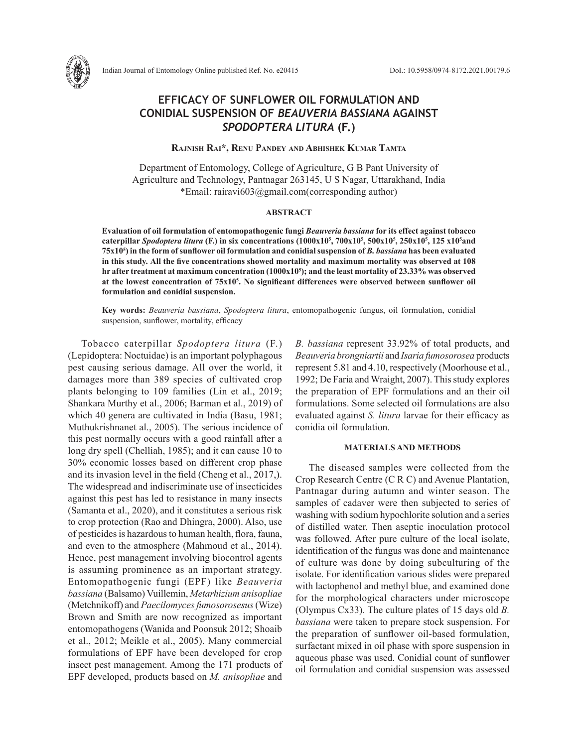

# **EFFICACY OF SUNFLOWER OIL FORMULATION AND CONIDIAL SUSPENSION OF** *BEAUVERIA BASSIANA* **AGAINST**  *SPODOPTERA LITURA* **(F.)**

**Rajnish Rai\*, Renu Pandey and Abhishek Kumar Tamta**

Department of Entomology, College of Agriculture, G B Pant University of Agriculture and Technology, Pantnagar 263145, U S Nagar, Uttarakhand, India \*Email: rairavi603@gmail.com(corresponding author)

## **ABSTRACT**

**Evaluation of oil formulation of entomopathogenic fungi** *Beauveria bassiana* **for its effect against tobacco caterpillar** *Spodoptera litura* **(F.) in six concentrations (1000x105 , 700x105 , 500x105 , 250x105 , 125 x105 and 75x105 ) in the form of sunflower oil formulation and conidial suspension of** *B. bassiana* **has been evaluated in this study***.* **All the five concentrations showed mortality and maximum mortality was observed at 108 hr after treatment at maximum concentration (1000x105 ); and the least mortality of 23.33% was observed at the lowest concentration of 75x10<sup>5</sup> . No significant differences were observed between sunflower oil formulation and conidial suspension.** 

**Key words:** *Beauveria bassiana*, *Spodoptera litura*, entomopathogenic fungus, oil formulation, conidial suspension, sunflower, mortality, efficacy

Tobacco caterpillar *Spodoptera litura* (F.) (Lepidoptera: Noctuidae) is an important polyphagous pest causing serious damage. All over the world, it damages more than 389 species of cultivated crop plants belonging to 109 families (Lin et al., 2019; Shankara Murthy et al., 2006; Barman et al., 2019) of which 40 genera are cultivated in India (Basu, 1981; Muthukrishnanet al., 2005). The serious incidence of this pest normally occurs with a good rainfall after a long dry spell (Chelliah, 1985); and it can cause 10 to 30% economic losses based on different crop phase and its invasion level in the field (Cheng et al., 2017,). The widespread and indiscriminate use of insecticides against this pest has led to resistance in many insects (Samanta et al., 2020), and it constitutes a serious risk to crop protection (Rao and Dhingra, 2000). Also, use of pesticides is hazardous to human health, flora, fauna, and even to the atmosphere (Mahmoud et al., 2014). Hence, pest management involving biocontrol agents is assuming prominence as an important strategy. Entomopathogenic fungi (EPF) like *Beauveria bassiana* (Balsamo) Vuillemin, *Metarhizium anisopliae*  (Metchnikoff) and *Paecilomyces fumosorosesus* (Wize) Brown and Smith are now recognized as important entomopathogens (Wanida and Poonsuk 2012; Shoaib et al., 2012; Meikle et al., 2005). Many commercial formulations of EPF have been developed for crop insect pest management. Among the 171 products of EPF developed, products based on *M. anisopliae* and

*B. bassiana* represent 33.92% of total products, and *Beauveria brongniartii* and *Isaria fumosorosea* products represent 5.81 and 4.10, respectively (Moorhouse et al., 1992; De Faria and Wraight, 2007). This study explores the preparation of EPF formulations and an their oil formulations. Some selected oil formulations are also evaluated against *S. litura* larvae for their efficacy as conidia oil formulation.

### **MATERIALS AND METHODS**

The diseased samples were collected from the Crop Research Centre (C R C) and Avenue Plantation, Pantnagar during autumn and winter season. The samples of cadaver were then subjected to series of washing with sodium hypochlorite solution and a series of distilled water. Then aseptic inoculation protocol was followed. After pure culture of the local isolate, identification of the fungus was done and maintenance of culture was done by doing subculturing of the isolate. For identification various slides were prepared with lactophenol and methyl blue, and examined done for the morphological characters under microscope (Olympus Cx33). The culture plates of 15 days old *B. bassiana* were taken to prepare stock suspension. For the preparation of sunflower oil-based formulation, surfactant mixed in oil phase with spore suspension in aqueous phase was used. Conidial count of sunflower oil formulation and conidial suspension was assessed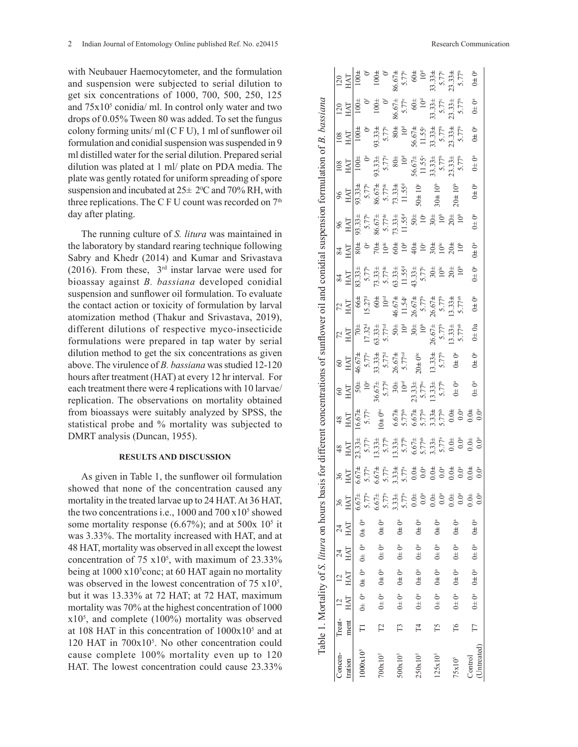with Neubauer Haemocytometer, and the formulation and suspension were subjected to serial dilution to get six concentrations of 1000, 700, 500, 250, 125 and  $75x10<sup>5</sup>$  conidia/ ml. In control only water and two drops of 0.05% Tween 80 was added. To set the fungus colony forming units/ ml (C F U), 1 ml of sunflower oil formulation and conidial suspension was suspended in 9 ml distilled water for the serial dilution. Prepared serial dilution was plated at 1 ml/ plate on PDA media. The plate was gently rotated for uniform spreading of spore suspension and incubated at  $25\pm 2^{\circ}\text{C}$  and  $70\%$  RH, with three replications. The C F U count was recorded on  $7<sup>th</sup>$ day after plating.

The running culture of *S. litura* was maintained in the laboratory by standard rearing technique following Sabry and Khedr (2014) and Kumar and Srivastava (2016). From these, 3rd instar larvae were used for bioassay against *B. bassiana* developed conidial suspension and sunflower oil formulation. To evaluate the contact action or toxicity of formulation by larval atomization method (Thakur and Srivastava, 2019), different dilutions of respective myco-insecticide formulations were prepared in tap water by serial dilution method to get the six concentrations as given above. The virulence of *B. bassiana* was studied 12-120 hours after treatment (HAT) at every 12 hr interval. For each treatment there were 4 replications with 10 larvae/ replication. The observations on mortality obtained from bioassays were suitably analyzed by SPSS, the statistical probe and % mortality was subjected to DMRT analysis (Duncan, 1955).

# **RESULTS AND DISCUSSION**

As given in Table 1, the sunflower oil formulation showed that none of the concentration caused any mortality in the treated larvae up to 24 HAT. At 36 HAT, the two concentrations i.e.,  $1000$  and  $700 \times 10^5$  showed some mortality response  $(6.67\%)$ ; and at 500x 10<sup>5</sup> it was 3.33%. The mortality increased with HAT, and at 48 HAT, mortality was observed in all except the lowest concentration of  $75 \times 10^5$ , with maximum of  $23.33\%$ being at  $1000 \times 10^5$ conc; at 60 HAT again no mortality was observed in the lowest concentration of  $75 \times 10^5$ , but it was 13.33% at 72 HAT; at 72 HAT, maximum mortality was 70% at the highest concentration of 1000 x105 , and complete (100%) mortality was observed at 108 HAT in this concentration of  $1000x10<sup>5</sup>$  and at 120 HAT in 700x105 . No other concentration could cause complete 100% mortality even up to 120 HAT. The lowest concentration could cause 23.33%

 $86.67 +$ <br>  $5.77^e$ <br>  $60 +$ <br>  $10^d$ <br>  $10^d$ <br>  $5.77^e$ 100**±** 0f 100**±** 0f 1968 104° (14 °C) (14 °C) (14 °C) (14 °C) (14 °C) (14 °C) (14 °C) (14 °C) (14 °C) (14 °C) (14 °C) (14 °C) (14 °C) (14 °C) (14 °C) (14 °C) (14 °C) (14 °C) (14 °C)<br>1000 101 102 104 104 104 104 11 11 12 12 13 14 14 15 17 16 250x105 T4 0± 0a 0**±** 0a 0± 0a 0**±** 0a 0.0± 0.0a 0.0**±** 0.0a 6.67± 5.77ab 6.67**±** 5.77ab 23.33± 5.77bc 20**±** 0bc 30± 10b 26.67**±** 5.77b 43.33± 5.77c 40**±** 10c 50± 10c 50**±** 10c 56.67± 11.55c 56.67**±** 11.55c 60± 10d 60**±** 10d 125x10° (15 O±0° O±0° O±0° O.00° 3.77° 3.77° 3.77° 3.77° 3.77° 3.77° 3.77° 3.95° 3.00° 1.0° 3.01 3.77° 3.77° 3.77° 3.77° 3.77° 3.77° 3.77° 3.77° 3.77° 3.77° 3.77° 3.77° 3.77° 3.77° 3.77 75x105 T6 0± 0a 0**±** 0a 0± 0a 0**±** 0a 0.0± 0.0a 0.0**±** 0.0a 0.0± 0.0a 0.0**±** 0.0a 0± 0a 0**±** 0a 13.33± 5.77ab 13.33**±** 5.77ab 20± 10b 20**±** 10b 20± 10b 20**±** 10b 23.33± 5.77b 23.33**±** 5.77b 23.33± 5.77b 23.33**±** 5.77b (Untreated) T7 0± 0a 0**±** 0a 0± 0a 0**±** 0a 0.0± 0.0a 0.0**±** 0.0a 0.0± 0.0a 0.0**±** 0.0a 0± 0a 0**±** 0a 0± 0a 0**±** 0a 0± 0a 0**±** 0a 0± 0a 0**±** 0a 0± 0a 0**±** 0a 0± 0a 0**±** 0a $rac{6}{5}$ tration Treat- ment 12 HAT 12 HAT 24 HAT 24 HAT 36 HAT 36 HAT 48 HAT 48 HAT 60 HAT 60 HAT 72 HAT 72 HAT 84 HAT 84 HAT 96 HAT 96 HAT 108 HAT 108 HAT 120 HAT 120 HAT Table 1. Mortality of S. litura on hours basis for different concentrations of sunflower oil and conidial suspension formulation of B. bassiana Table 1. Mortality of *S. litura* on hours basis for different concentrations of sunflower oil and conidial suspension formulation of *B. bassiana* ð ð  $86.67\pm$ <br>5.77°<br>60±<br>10<sup>d</sup>  $33.33 + 5.77^{\circ}$  $0^{\pm}$   $0^{\circ}$ 100± 700x105 T2 0± 0a 0**±** 0a 0± 0a 0**±** 0a 6.67± 5.77a 6.67**±** 5.77a 13.33± 5.77b 10**±** 0bc 36.67± 5.77d 33.33**±** 5.77d 63.33± 5.77cd 60**±** 10cd 73.33± 5.77de 70**±** 10de 86.67± 5.77de 86.67**±** 5.77de 93.33± 5.77e 93.33**±** 5.77e 100±  $3.33 +$  $100<sup>±</sup>$  $\frac{120}{25}$  $10<sup>d</sup>$  $\frac{56.67\pm}{11.55^{\circ}}$ <br>33.33±<br>5.77<sup>b</sup>  $0\pm 0^a$ 100**±** రి  $80<sub>±</sub>$  $93.33<sub>±</sub>$  $\frac{\text{IN}}{\text{M}}$  $\frac{56.67\pm}{11.55^\circ}$ <br>33.33±<br>5.77<sup>b</sup>  $93.33 \pm$  $80\pm$  $10^{\rm d}$  $0\pm0^{\rm a}$ 100± å  $\frac{108}{M}$  $73.33 +$ <br>11.55<sup>d</sup>  $0 + 10^{\circ}$  $30\pm10^{b}$ <sup>a</sup> 93.33**±** 5.77e  $36.67 + 5.77$ <sup>de</sup>  $20\pm10^{\circ}$  $\overline{a}$  $11.55<sup>d</sup>$  $50<sub>±</sub>$  $10<sup>6</sup>$  $0 \pm 0^a$ 93.33± 5.77e  $3.33<sup>±</sup>$  $86.674$  $_{\rm 96}^{\rm 5}$  $0\pm 0$ <sup>a</sup> я<br>И 1000x105 T1 0± 0a 0**±** 0a 0± 0a 0**±** 0a 6.67± 5.77a 6.67**±** 5.77a 23.33± 5.77c 16.67**±** 5.77c 50± 10e 46.67**±** 5.77e 70± 17.32d 66**±** 15.27d 83.33± 5.77e 80**±** å  $\approx$  $10<sup>d</sup>$  $rac{4}{9}$   $rac{6}{9}$  $30<sup>±</sup>$  $\sum_{k=1}^{\infty}$  $10<sup>b</sup>$  $\widetilde{O}^a$  $13.331$  $1.55$  $\frac{84}{5}$  $63.33$  $.6.67 +$  $0 \pm 0^a$  $1.54^{\circ}$  $6.67$ 5.77  $72 \overline{X}$  $.6.67$  $0\pm 0a$  $26.67 \pm$  $3.33 +$  $53.334$  $50<sup>+</sup>$  $7.32$  $\frac{1}{2}$  $0\pm 0$ <sup>a</sup>  $6.67 +$  $20 \pm 0^{\circ}$  $\rm 0^4$  $3.331$  $\frac{60}{2}$  $0\pm 0^a$  $3.33\pm$ 60<br>IAT ₫<br>Ö  $0.0^\circ$  $6.67 +$ 5.<br>C  $\tilde{0}$  $rac{48}{54}$ Ö<br>∄ 5.67  $0.04$  $\tilde{0}$ .0 67.  $_{\rm 4}^{\rm 8}$  $_{+0.0}$ 흥  $\tilde{\mathrm{C}}$  $rac{4}{5}$   $rac{6}{5}$  $^{36}_{\rm H}$  $-5.67$  $0.0 \pm$  $0.0<sup>a</sup>$  $0.04$  $0.0^a$  $0.04$  $0.0^{\rm a}$  $0.0 \pm$  $-67<sup>4</sup>$  $33\pm$  $0.0^{\circ}$ ТĄГ c<sub>a</sub>  $0^a$  $0\pm 0$ <sup>a</sup>  $0\pm 0$ <sup>a</sup>  $0\pm 0$ <sup>a</sup>  $0\pm 0$ <sup>a</sup>  $0^a$  $^{24}_{\rm HAT}$ ¥,  $0\pm0^{\rm a}$  $0\pm$   $0^{\rm a}$  $0\pm 0$ <sup>a</sup> Õ  $0\pm 0^a$ Õª Õª HAT  $\mathcal{A}$ ₹  $\stackrel{+}{\circ}$  $\overline{a}$  $0^a$  $0^{\pm}$   $0^{\text{a}}$  $0\pm 0$ <sup>a</sup>  $0^{\pm}$   $0^{\circ}$  $O^a$ Õ **Ö** HAT  $\overline{C}$  $\overline{\mathbb{R}}$  $_{\pm}$  $0\pm 0$ <sup>a</sup>  $0\pm$   $0^{\rm a}$  $0\pm 0$ <sup>a</sup>  $0\pm 0^a$  $0\pm 0^{\rm a}$  $0\pm$   $0^{\rm a}$ ತಿ  $HAT$  $\overline{a}$  $\pm$ Treatment  $\overline{\Box}$  $\Gamma$  $F<sub>4</sub>$ T6  $\Gamma$ 3 T5  $\Box$ (Untreated)  $1000x10^{5}$ Concen- $700x10<sup>5</sup>$  $500<sub>X</sub>10<sup>5</sup>$ 250x10<sup>5</sup>  $125x10^{5}$ 75x10<sup>5</sup> tration Control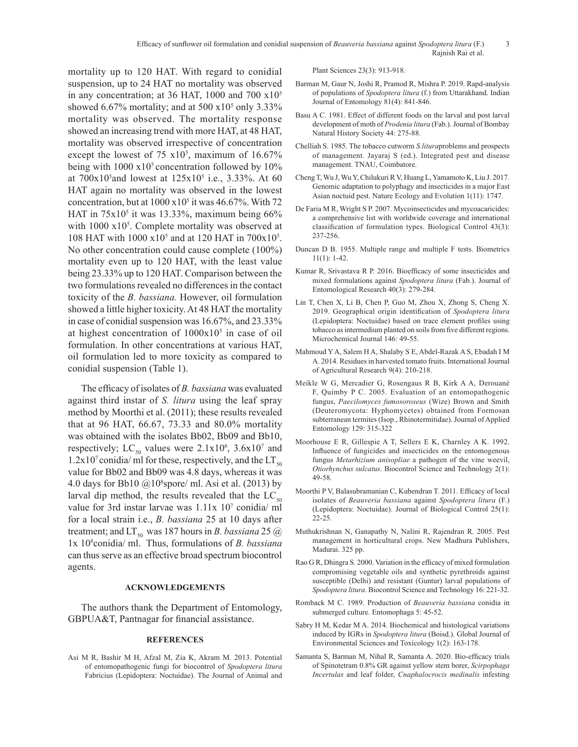mortality up to 120 HAT. With regard to conidial suspension, up to 24 HAT no mortality was observed in any concentration; at 36 HAT, 1000 and 700  $x10<sup>5</sup>$ showed  $6.67\%$  mortality; and at  $500 \times 10^5$  only  $3.33\%$ mortality was observed. The mortality response showed an increasing trend with more HAT, at 48 HAT, mortality was observed irrespective of concentration except the lowest of  $75 \times 10^5$ , maximum of  $16.67\%$ being with  $1000 \times 10^5$  concentration followed by  $10\%$ at  $700x10^5$  and lowest at  $125x10^5$  i.e., 3.33%. At 60 HAT again no mortality was observed in the lowest concentration, but at  $1000 \times 10^5$  it was 46.67%. With 72 HAT in  $75x10<sup>5</sup>$  it was 13.33%, maximum being 66% with  $1000 \times 10^5$ . Complete mortality was observed at 108 HAT with 1000  $x10^5$  and at 120 HAT in 700 $x10^5$ . No other concentration could cause complete (100%) mortality even up to 120 HAT, with the least value being 23.33% up to 120 HAT. Comparison between the two formulations revealed no differences in the contact toxicity of the *B. bassiana.* However, oil formulation showed a little higher toxicity. At 48 HAT the mortality in case of conidial suspension was 16.67%, and 23.33% at highest concentration of  $1000x10<sup>5</sup>$  in case of oil formulation. In other concentrations at various HAT, oil formulation led to more toxicity as compared to conidial suspension (Table 1).

The efficacy of isolates of *B. bassiana* was evaluated against third instar of *S. litura* using the leaf spray method by Moorthi et al. (2011); these results revealed that at 96 HAT, 66.67, 73.33 and 80.0% mortality was obtained with the isolates Bb02, Bb09 and Bb10, respectively; LC<sub>50</sub> values were  $2.1x10^6$ ,  $3.6x10^7$  and  $1.2x10^7$  conidia/ ml for these, respectively, and the  $LT_{50}$ value for Bb02 and Bb09 was 4.8 days, whereas it was 4.0 days for Bb10  $@10^8$ spore/ ml. Asi et al. (2013) by larval dip method, the results revealed that the  $LC_{50}$ value for 3rd instar larvae was  $1.11x$  10<sup>7</sup> conidia/ ml for a local strain i.e., *B. bassiana* 25 at 10 days after treatment; and  $LT_{50}$  was 187 hours in *B. bassiana* 25  $@$ 1x 108 conidia/ ml. Thus, formulations of *B. bassiana* can thus serve as an effective broad spectrum biocontrol agents.

## **ACKNOWLEDGEMENTS**

The authors thank the Department of Entomology, GBPUA&T, Pantnagar for financial assistance.

#### **REFERENCES**

Asi M R, Bashir M H, Afzal M, Zia K, Akram M. 2013. Potential of entomopathogenic fungi for biocontrol of *Spodoptera litura*  Fabricius (Lepidoptera: Noctuidae). The Journal of Animal and Plant Sciences 23(3): 913-918.

- Barman M, Gaur N, Joshi R, Pramod R, Mishra P. 2019. Rapd-analysis of populations of *Spodoptera litura* (f.) from Uttarakhand. Indian Journal of Entomology 81(4): 841-846.
- Basu A C. 1981. Effect of different foods on the larval and post larval development of moth of *Prodenia litura* (Fab.). Journal of Bombay Natural History Society 44: 275-88.
- Chelliah S. 1985. The tobacco cutworm *S.litura*problems and prospects of management. Jayaraj S (ed.). Integrated pest and disease management. TNAU, Coimbatore.
- Cheng T, Wu J, Wu Y, Chilukuri R V, Huang L, Yamamoto K, Liu J. 2017. Genomic adaptation to polyphagy and insecticides in a major East Asian noctuid pest. Nature Ecology and Evolution 1(11): 1747.
- De Faria M R, Wright S P. 2007. Mycoinsecticides and mycoacaricides: a comprehensive list with worldwide coverage and international classification of formulation types. Biological Control 43(3): 237-256.
- Duncan D B. 1955. Multiple range and multiple F tests. Biometrics 11(1): 1-42.
- Kumar R, Srivastava R P. 2016. Bioefficacy of some insecticides and mixed formulations against *Spodoptera litura* (Fab.). Journal of Entomological Research 40(3): 279-284.
- Lin T, Chen X, Li B, Chen P, Guo M, Zhou X, Zhong S, Cheng X. 2019. Geographical origin identification of *Spodoptera litura* (Lepidoptera: Noctuidae) based on trace element profiles using tobacco as intermedium planted on soils from five different regions. Microchemical Journal 146: 49-55.
- Mahmoud Y A, Salem H A, Shalaby S E, Abdel-Razak A S, Ebadah I M A. 2014. Residues in harvested tomato fruits. International Journal of Agricultural Research 9(4): 210-218.
- Meikle W G, Mercadier G, Rosengaus R B, Kirk A A, Derouané F, Quimby P C. 2005. Evaluation of an entomopathogenic fungus, *Paecilomyces fumosoroseus* (Wize) Brown and Smith (Deuteromycota: Hyphomycetes) obtained from Formosan subterranean termites (Isop., Rhinotermitidae). Journal of Applied Entomology 129: 315-322
- Moorhouse E R, Gillespie A T, Sellers E K, Charnley A K. 1992. Influence of fungicides and insecticides on the entomogenous fungus *Metarhizium anisopliae* a pathogen of the vine weevil, *Otiorhynchus sulcatus*. Biocontrol Science and Technology 2(1): 49-58.
- Moorthi P V, Balasubramanian C, Kubendran T. 2011. Efficacy of local isolates of *Beauveria bassiana* against *Spodoptera litura* (F.) (Lepidoptera: Noctuidae). Journal of Biological Control 25(1): 22-25.
- Muthukrishnan N, Ganapathy N, Nalini R, Rajendran R. 2005. Pest management in horticultural crops. New Madhura Publishers, Madurai. 325 pp.
- Rao G R, Dhingra S. 2000. Variation in the efficacy of mixed formulation compromising vegetable oils and synthetic pyrethroids against susceptible (Delhi) and resistant (Guntur) larval populations of *Spodoptera litura*. Biocontrol Science and Technology 16: 221-32.
- Romback M C. 1989. Production of *Beauveria bassiana* conidia in submerged culture. Entomophaga 5: 45-52.
- Sabry H M, Kedar M A. 2014. Biochemical and histological variations induced by IGRs in *Spodoptera litura* (Boisd.). Global Journal of Environmental Sciences and Toxicology 1(2): 163-178.
- Samanta S, Barman M, Nihal R, Samanta A. 2020. Bio-efficacy trials of Spinotetram 0.8% GR against yellow stem borer, *Scirpophaga Incertulas* and leaf folder, *Cnaphalocrocis medinalis* infesting